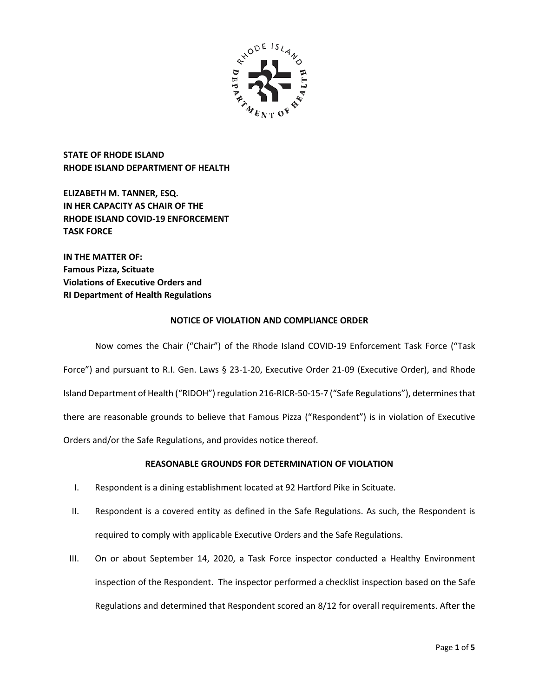

**STATE OF RHODE ISLAND RHODE ISLAND DEPARTMENT OF HEALTH**

**ELIZABETH M. TANNER, ESQ. IN HER CAPACITY AS CHAIR OF THE RHODE ISLAND COVID-19 ENFORCEMENT TASK FORCE** 

**IN THE MATTER OF: Famous Pizza, Scituate Violations of Executive Orders and RI Department of Health Regulations**

# **NOTICE OF VIOLATION AND COMPLIANCE ORDER**

Now comes the Chair ("Chair") of the Rhode Island COVID-19 Enforcement Task Force ("Task Force") and pursuant to R.I. Gen. Laws § 23-1-20, Executive Order 21-09 (Executive Order), and Rhode Island Department of Health ("RIDOH") regulation 216-RICR-50-15-7 ("Safe Regulations"), determines that there are reasonable grounds to believe that Famous Pizza ("Respondent") is in violation of Executive Orders and/or the Safe Regulations, and provides notice thereof.

# **REASONABLE GROUNDS FOR DETERMINATION OF VIOLATION**

- I. Respondent is a dining establishment located at 92 Hartford Pike in Scituate.
- II. Respondent is a covered entity as defined in the Safe Regulations. As such, the Respondent is required to comply with applicable Executive Orders and the Safe Regulations.
- III. On or about September 14, 2020, a Task Force inspector conducted a Healthy Environment inspection of the Respondent. The inspector performed a checklist inspection based on the Safe Regulations and determined that Respondent scored an 8/12 for overall requirements. After the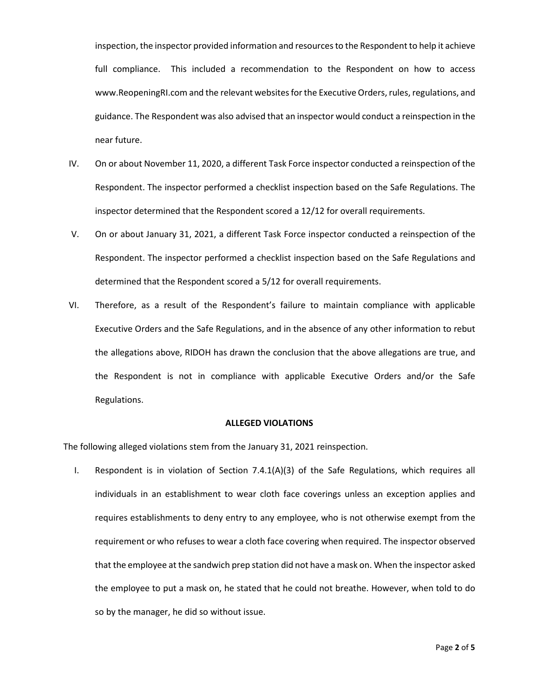inspection, the inspector provided information and resources to the Respondent to help it achieve full compliance. This included a recommendation to the Respondent on how to access www.ReopeningRI.com and the relevant websites for the Executive Orders, rules, regulations, and guidance. The Respondent was also advised that an inspector would conduct a reinspection in the near future.

- IV. On or about November 11, 2020, a different Task Force inspector conducted a reinspection of the Respondent. The inspector performed a checklist inspection based on the Safe Regulations. The inspector determined that the Respondent scored a 12/12 for overall requirements.
- V. On or about January 31, 2021, a different Task Force inspector conducted a reinspection of the Respondent. The inspector performed a checklist inspection based on the Safe Regulations and determined that the Respondent scored a 5/12 for overall requirements.
- VI. Therefore, as a result of the Respondent's failure to maintain compliance with applicable Executive Orders and the Safe Regulations, and in the absence of any other information to rebut the allegations above, RIDOH has drawn the conclusion that the above allegations are true, and the Respondent is not in compliance with applicable Executive Orders and/or the Safe Regulations.

### **ALLEGED VIOLATIONS**

The following alleged violations stem from the January 31, 2021 reinspection.

I. Respondent is in violation of Section 7.4.1(A)(3) of the Safe Regulations, which requires all individuals in an establishment to wear cloth face coverings unless an exception applies and requires establishments to deny entry to any employee, who is not otherwise exempt from the requirement or who refuses to wear a cloth face covering when required. The inspector observed that the employee at the sandwich prep station did not have a mask on. When the inspector asked the employee to put a mask on, he stated that he could not breathe. However, when told to do so by the manager, he did so without issue.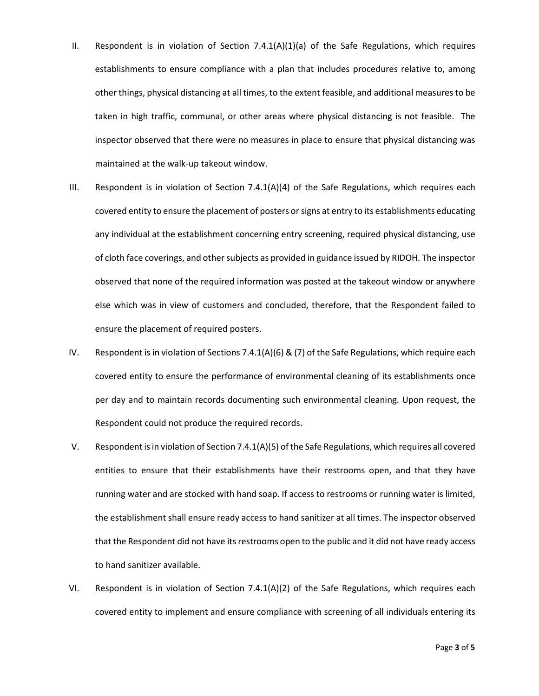- II. Respondent is in violation of Section 7.4.1(A)(1)(a) of the Safe Regulations, which requires establishments to ensure compliance with a plan that includes procedures relative to, among other things, physical distancing at all times, to the extent feasible, and additional measures to be taken in high traffic, communal, or other areas where physical distancing is not feasible. The inspector observed that there were no measures in place to ensure that physical distancing was maintained at the walk-up takeout window.
- III. Respondent is in violation of Section 7.4.1(A)(4) of the Safe Regulations, which requires each covered entity to ensure the placement of posters or signs at entry to its establishments educating any individual at the establishment concerning entry screening, required physical distancing, use of cloth face coverings, and other subjects as provided in guidance issued by RIDOH. The inspector observed that none of the required information was posted at the takeout window or anywhere else which was in view of customers and concluded, therefore, that the Respondent failed to ensure the placement of required posters.
- IV. Respondent is in violation of Sections 7.4.1(A)(6) & (7) of the Safe Regulations, which require each covered entity to ensure the performance of environmental cleaning of its establishments once per day and to maintain records documenting such environmental cleaning. Upon request, the Respondent could not produce the required records.
- V. Respondent is in violation of Section 7.4.1(A)(5) of the Safe Regulations, which requires all covered entities to ensure that their establishments have their restrooms open, and that they have running water and are stocked with hand soap. If access to restrooms or running water is limited, the establishment shall ensure ready access to hand sanitizer at all times. The inspector observed that the Respondent did not have its restrooms open to the public and it did not have ready access to hand sanitizer available.
- VI. Respondent is in violation of Section 7.4.1(A)(2) of the Safe Regulations, which requires each covered entity to implement and ensure compliance with screening of all individuals entering its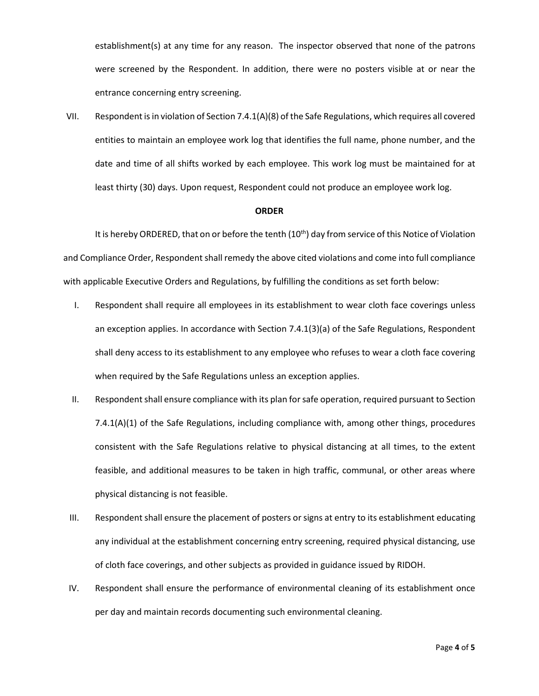establishment(s) at any time for any reason. The inspector observed that none of the patrons were screened by the Respondent. In addition, there were no posters visible at or near the entrance concerning entry screening.

VII. Respondent is in violation of Section 7.4.1(A)(8) of the Safe Regulations, which requires all covered entities to maintain an employee work log that identifies the full name, phone number, and the date and time of all shifts worked by each employee. This work log must be maintained for at least thirty (30) days. Upon request, Respondent could not produce an employee work log.

#### **ORDER**

It is hereby ORDERED, that on or before the tenth  $(10<sup>th</sup>)$  day from service of this Notice of Violation and Compliance Order, Respondent shall remedy the above cited violations and come into full compliance with applicable Executive Orders and Regulations, by fulfilling the conditions as set forth below:

- I. Respondent shall require all employees in its establishment to wear cloth face coverings unless an exception applies. In accordance with Section 7.4.1(3)(a) of the Safe Regulations, Respondent shall deny access to its establishment to any employee who refuses to wear a cloth face covering when required by the Safe Regulations unless an exception applies.
- II. Respondent shall ensure compliance with its plan for safe operation, required pursuant to Section 7.4.1(A)(1) of the Safe Regulations, including compliance with, among other things, procedures consistent with the Safe Regulations relative to physical distancing at all times, to the extent feasible, and additional measures to be taken in high traffic, communal, or other areas where physical distancing is not feasible.
- III. Respondent shall ensure the placement of posters or signs at entry to its establishment educating any individual at the establishment concerning entry screening, required physical distancing, use of cloth face coverings, and other subjects as provided in guidance issued by RIDOH.
- IV. Respondent shall ensure the performance of environmental cleaning of its establishment once per day and maintain records documenting such environmental cleaning.